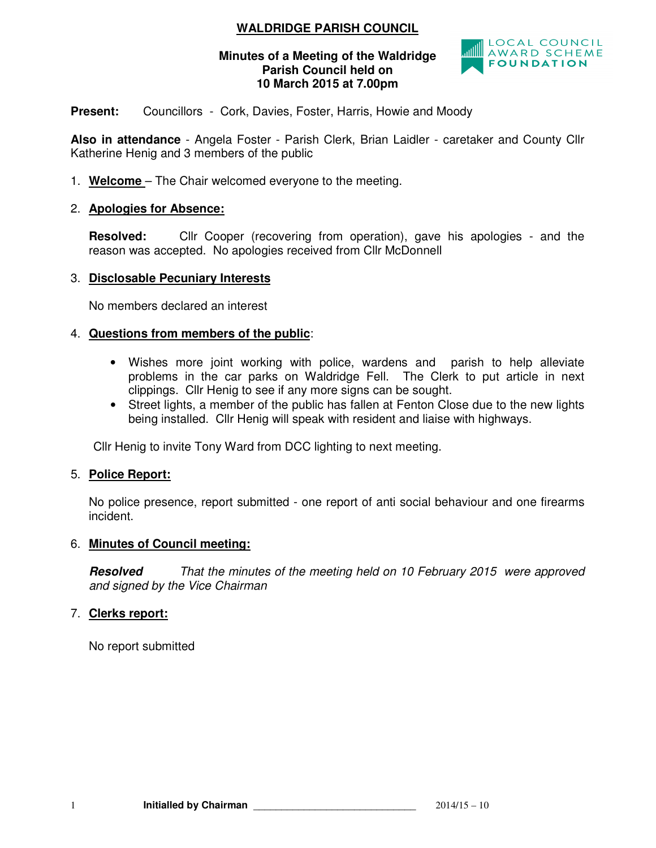# **WALDRIDGE PARISH COUNCIL**

#### **Minutes of a Meeting of the Waldridge Parish Council held on 10 March 2015 at 7.00pm**



**Present:** Councillors - Cork, Davies, Foster, Harris, Howie and Moody

**Also in attendance** - Angela Foster - Parish Clerk, Brian Laidler - caretaker and County Cllr Katherine Henig and 3 members of the public

1. **Welcome** – The Chair welcomed everyone to the meeting.

### 2. **Apologies for Absence:**

**Resolved:** Cllr Cooper (recovering from operation), gave his apologies - and the reason was accepted. No apologies received from Cllr McDonnell

#### 3. **Disclosable Pecuniary Interests**

No members declared an interest

## 4. **Questions from members of the public**:

- Wishes more joint working with police, wardens and parish to help alleviate problems in the car parks on Waldridge Fell. The Clerk to put article in next clippings. Cllr Henig to see if any more signs can be sought.
- Street lights, a member of the public has fallen at Fenton Close due to the new lights being installed. Cllr Henig will speak with resident and liaise with highways.

Cllr Henig to invite Tony Ward from DCC lighting to next meeting.

## 5. **Police Report:**

No police presence, report submitted - one report of anti social behaviour and one firearms incident.

#### 6. **Minutes of Council meeting:**

**Resolved** That the minutes of the meeting held on 10 February 2015 were approved and signed by the Vice Chairman

## 7. **Clerks report:**

No report submitted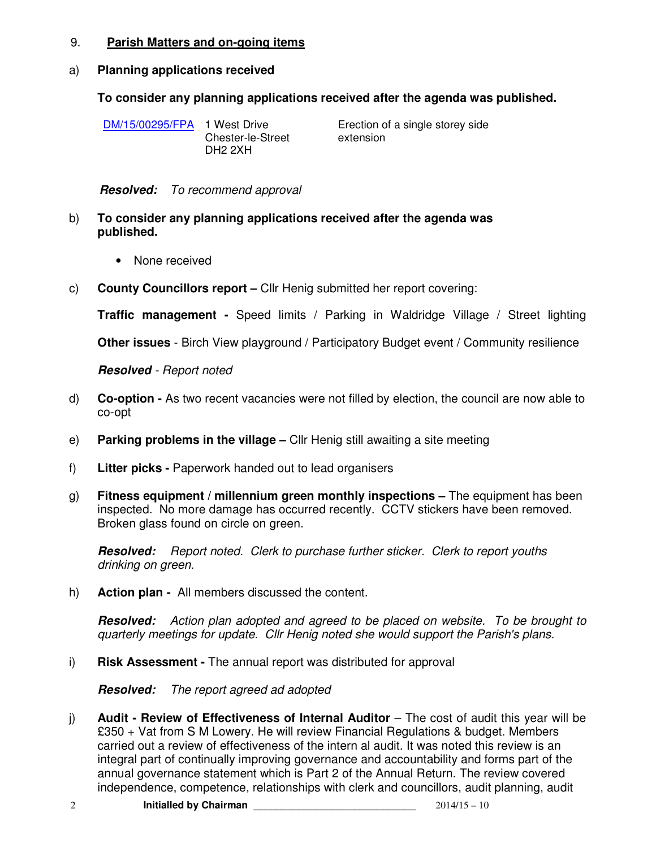#### 9. **Parish Matters and on-going items**

## a) **Planning applications received**

## **To consider any planning applications received after the agenda was published.**

DM/15/00295/FPA 1 West Drive Chester-le-Street DH2 2XH Erection of a single storey side extension

**Resolved:** To recommend approval

- b) **To consider any planning applications received after the agenda was published.** 
	- None received
- c) **County Councillors report** Cllr Henig submitted her report covering:

**Traffic management -** Speed limits / Parking in Waldridge Village / Street lighting

**Other issues** - Birch View playground / Participatory Budget event / Community resilience

#### **Resolved** - Report noted

- d) **Co-option** As two recent vacancies were not filled by election, the council are now able to co-opt
- e) **Parking problems in the village –** Cllr Henig still awaiting a site meeting
- f) **Litter picks** Paperwork handed out to lead organisers
- g) **Fitness equipment / millennium green monthly inspections** The equipment has been inspected. No more damage has occurred recently. CCTV stickers have been removed. Broken glass found on circle on green.

**Resolved:** Report noted. Clerk to purchase further sticker. Clerk to report youths drinking on green.

h) **Action plan -** All members discussed the content.

**Resolved:** Action plan adopted and agreed to be placed on website. To be brought to quarterly meetings for update. Cllr Henig noted she would support the Parish's plans.

i) **Risk Assessment -** The annual report was distributed for approval

**Resolved:** The report agreed ad adopted

j) **Audit - Review of Effectiveness of Internal Auditor** – The cost of audit this year will be £350 + Vat from S M Lowery. He will review Financial Regulations & budget. Members carried out a review of effectiveness of the intern al audit. It was noted this review is an integral part of continually improving governance and accountability and forms part of the annual governance statement which is Part 2 of the Annual Return. The review covered independence, competence, relationships with clerk and councillors, audit planning, audit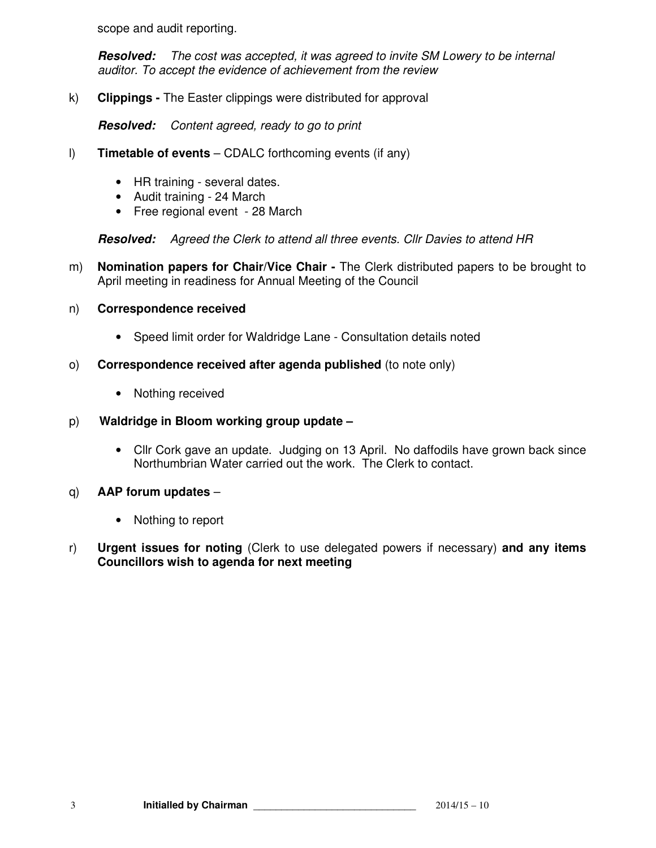scope and audit reporting.

**Resolved:** The cost was accepted, it was agreed to invite SM Lowery to be internal auditor. To accept the evidence of achievement from the review

k) **Clippings -** The Easter clippings were distributed for approval

**Resolved:** Content agreed, ready to go to print

- l) **Timetable of events** CDALC forthcoming events (if any)
	- HR training several dates.
	- Audit training 24 March
	- Free regional event 28 March

**Resolved:** Agreed the Clerk to attend all three events. Cllr Davies to attend HR

m) **Nomination papers for Chair/Vice Chair -** The Clerk distributed papers to be brought to April meeting in readiness for Annual Meeting of the Council

#### n) **Correspondence received**

- Speed limit order for Waldridge Lane Consultation details noted
- o) **Correspondence received after agenda published** (to note only)
	- Nothing received

## p) **Waldridge in Bloom working group update –**

- Cllr Cork gave an update. Judging on 13 April. No daffodils have grown back since Northumbrian Water carried out the work. The Clerk to contact.
- q) **AAP forum updates** 
	- Nothing to report
- r) **Urgent issues for noting** (Clerk to use delegated powers if necessary) **and any items Councillors wish to agenda for next meeting**